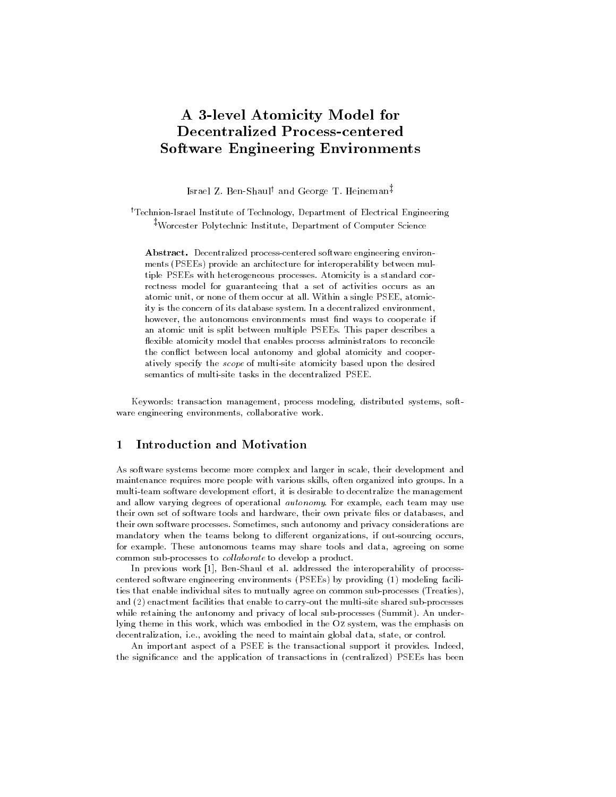## A 3-level Atomicity Model for **Decentralized Process-centered** Software Engineering Environments

Israel Z. Ben-Shauly and George T. Heineman<sup>z</sup> yTechnion-Israel Institute of Technology, Department of Electrical Engineering zWorcester Polytechnic Institute, Department of Computer Science

Abstract. Decentralized process-centered software engineering environ ments (PSEEs) provide an architecture for interoperability between multiple PSEEs with heterogeneous processes. Atomicity is a standard correctness model for guaranteeing that a set of activities occurs as an atomic unit, or none of them occur at all. Within a single PSEE, atomicity is the concern of its database system. In a decentralized environment, however, the autonomous environments must find ways to cooperate if an atomic unit is split between multiple PSEEs. This paper describes a flexible atomicity model that enables process administrators to reconcile the conflict between local autonomy and global atomicity and cooperatively specify the scope of multi-site atomicity based upon the desired semantics of multi-site tasks in the decentralized PSEE.

Keywords: transaction management, process modeling, distributed systems, soft ware engineering environments, collaborative work.

## Introduction and Motivation 1

As software systems become more complex and larger in scale, their development and maintenance requires more people with various skills, often organized into groups. In a multi-team software development effort, it is desirable to decentralize the management and allow varying degrees of operational *autonomy*. For example, each team may use their own set of software tools and hardware, their own private les or databases, and their own software processes. Sometimes, such autonomy and privacy considerations are mandatory when the teams belong to different organizations, if out-sourcing occurs, for example. These autonomous teams may share tools and data, agreeing on some common sub-processes to *collaborate* to develop a product.

In previous work [1], Ben-Shaul et al. addressed the interoperability of processcentered software engineering environments (PSEEs) by providing (1) modeling facilities that enable individual sites to mutually agree on common sub-processes (Treaties), and (2) enactment facilities that enable to carry-out the multi-site shared sub-processes while retaining the autonomy and privacy of local sub-processes (Summit). An underlying theme in this work, which was embodied in the Oz system, was the emphasis on decentralization, i.e., avoiding the need to maintain global data, state, or control.

An important aspect of a PSEE is the transactional support it provides. Indeed, the signicance and the application of transactions in (centralized) PSEEs has been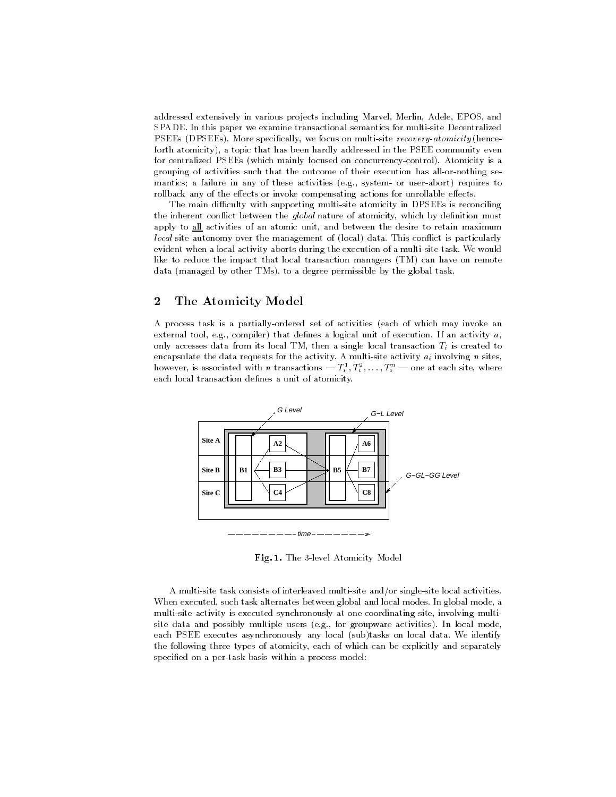addressed extensively in various projects including Marvel, Merlin, Adele, EPOS, and SPADE. In this paper we examine transactional semantics for multi-site Decentralized PSEEs (DPSEEs). More specifically, we focus on multi-site recovery-atomicity (henceforth atomicity), a topic that has been hardly addressed in the PSEE community even for centralized PSEEs (which mainly focused on concurrency-control). Atomicity is a grouping of activities such that the outcome of their execution has all-or-nothing se mantics; a failure in any of these activities (e.g., system- or user-abort) requires to rollback any of the effects or invoke compensating actions for unrollable effects.

The main difficulty with supporting multi-site atomicity in DPSEEs is reconciling the inherent conflict between the *global* nature of atomicity, which by definition must apply to all activities of an atomic unit, and between the desire to retain maximum local site autonomy over the management of (local) data. This conflict is particularly evident when a local activity aborts during the execution of a multi-site task. We would like to reduce the impact that local transaction managers (TM) can have on remote data (managed by other TMs), to a degree permissible by the global task.

## $\overline{2}$ 2 The Atomicity Model

A process task is a partially-ordered set of activities (each of which may invoke an external tool, e.g., compiler) that defines a logical unit of execution. If an activity  $a_i$ only accesses data from its local TM, then a single local transaction  $T_i$  is created to encapsulate the data requests for the activity. A multi-site activity  $a_i$  involving n sites, however, is associated with n transactions —  $I_i^+, I_i^-, \ldots, I_i^+$  — one at each site, where each local transaction defines a unit of atomicity.



Fig. 1. The 3-level Atomicity Model

A multi-site task consists of interleaved multi-site and/or single-site local activities. When executed, such task alternates between global and local modes. In global mode, a multi-site activity is executed synchronously at one coordinating site, involving multisite data and possibly multiple users (e.g., for groupware activities). In local mode, each PSEE executes asynchronously any local (sub)tasks on local data. We identify the following three types of atomicity, each of which can be explicitly and separately specied on a per-task basis within a process model: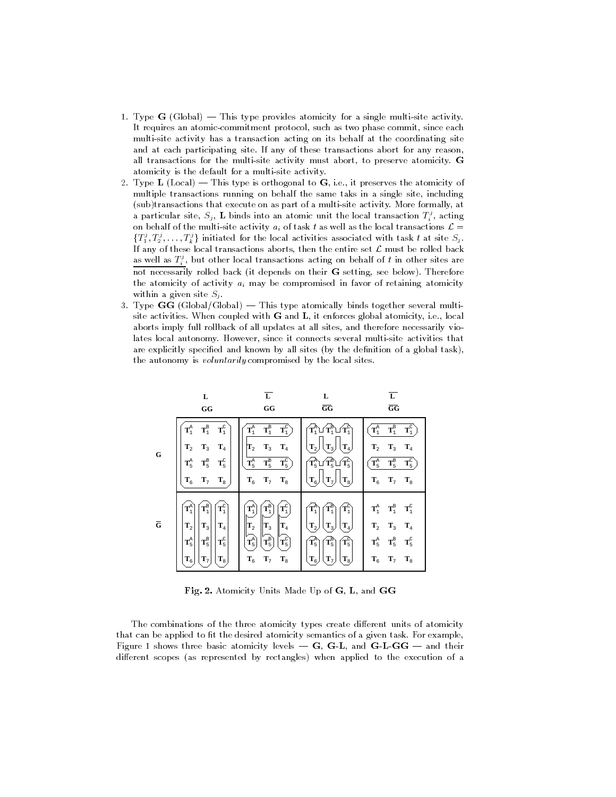- 1. Type  $G$  (Global) This type provides atomicity for a single multi-site activity. It requires an atomic-commitment protocol, such as two phase commit, since each multi-site activity has a transaction acting on its behalf at the coordinating site and at each participating site. If any of these transactions abort for any reason, all transactions for the multi-site activity must abort, to preserve atomicity. G atomicity is the default for a multi-site activity.
- 2. Type L (Local) This type is orthogonal to  $G$ , i.e., it preserves the atomicity of multiple transactions running on behalf the same taks in a single site, including (sub)transactions that execute on as part of a multi-site activity. More formally, at a particular site,  $S_i$ , L binds into an atomic unit the local transaction  $T_i$ , acting on behalf of the multi-site activity ai of task t as well as well as the local transactions  $\sim$  $\{T_1^s, T_2^s, \ldots, T_k^s\}$  initiated for the local activities associated with task t at site  $S_j$ . If any of these local transactions aborts, then the entire set L must be rolled back as well as  $T_i^s$ , but other local transactions acting on behalf of  $t$  in other sites are not necessarily rolled back (it depends on their G setting, see below). Therefore the atomicity of activity  $a_i$  may be compromised in favor of retaining atomicity within a given site  $S_j$ .
- 3. Type  $GG$  (Global/Global)  $-$  This type atomically binds together several multisite activities. When coupled with G and L, it enforces global atomicity, i.e., local aborts imply full rollback of all updates at all sites, and therefore necessarily violates local autonomy. However, since it connects several multi-site activities that are explicitly specified and known by all sites (by the definition of a global task), the autonomy is voluntarily compromised by the local sites.



Fig. 2. Atomicity Units Made Up of G, L, and GG

The combinations of the three atomicity types create different units of atomicity that can be applied to fit the desired atomicity semantics of a given task. For example, Figure 1 shows three basic atomicity levels  $-$  G, G-L, and G-L-GG  $-$  and their different scopes (as represented by rectangles) when applied to the execution of a